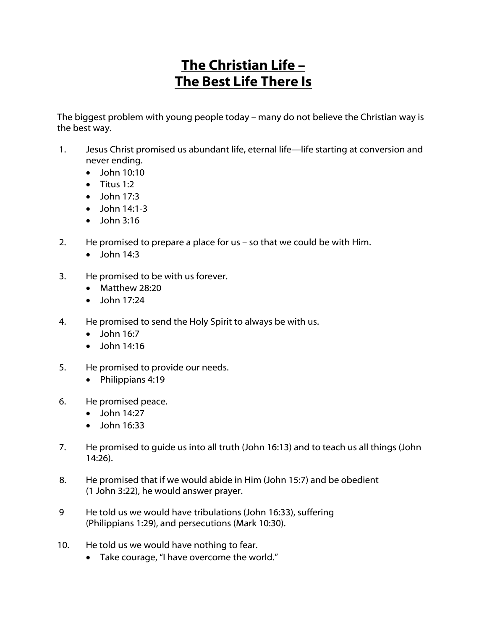## The Christian Life – The Best Life There Is

The biggest problem with young people today – many do not believe the Christian way is the best way.

- 1. Jesus Christ promised us abundant life, eternal life—life starting at conversion and never ending.
	- $\bullet$  John 10:10
	- Titus 1:2
	- John 17:3
	- $\bullet$  John 14:1-3
	- $\bullet$  John 3:16
- 2. He promised to prepare a place for us so that we could be with Him.
	- $\bullet$  John 14:3
- 3. He promised to be with us forever.
	- Matthew 28:20
	- $\bullet$  John 17:24
- 4. He promised to send the Holy Spirit to always be with us.
	- $\bullet$  John 16:7
	- John 14:16
- 5. He promised to provide our needs.
	- Philippians 4:19
- 6. He promised peace.
	- $\bullet$  John 14:27
	- John 16:33
- 7. He promised to guide us into all truth (John 16:13) and to teach us all things (John 14:26).
- 8. He promised that if we would abide in Him (John 15:7) and be obedient (1 John 3:22), he would answer prayer.
- 9 He told us we would have tribulations (John 16:33), suffering (Philippians 1:29), and persecutions (Mark 10:30).
- 10. He told us we would have nothing to fear.
	- Take courage, "I have overcome the world."